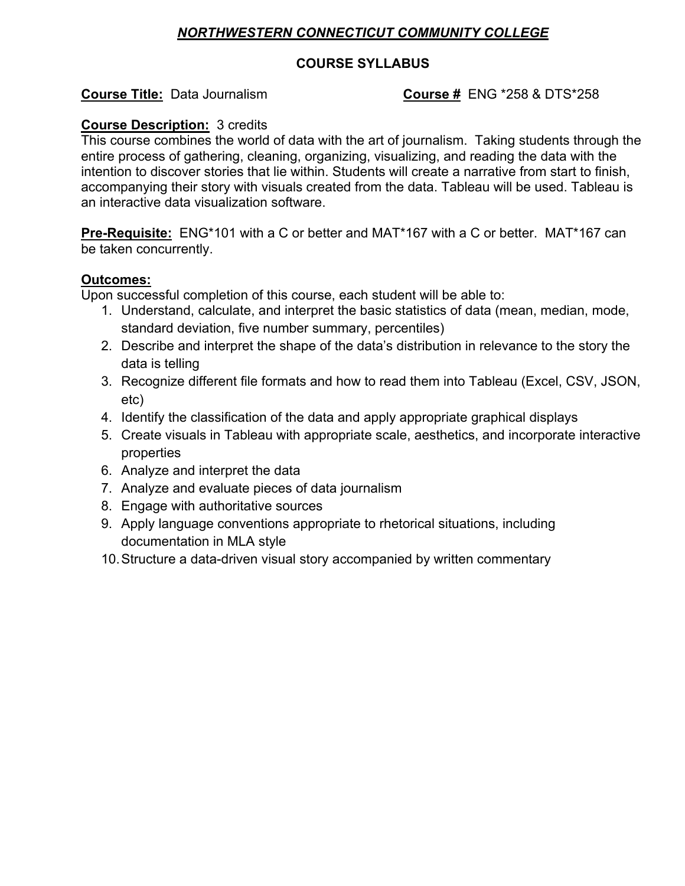# *NORTHWESTERN CONNECTICUT COMMUNITY COLLEGE*

## **COURSE SYLLABUS**

# **Course Title:** Data Journalism **COULCE 1:** Course # ENG \*258 & DTS \*258

## **Course Description:** 3 credits

This course combines the world of data with the art of journalism. Taking students through the entire process of gathering, cleaning, organizing, visualizing, and reading the data with the intention to discover stories that lie within. Students will create a narrative from start to finish, accompanying their story with visuals created from the data. Tableau will be used. Tableau is an interactive data visualization software.

**Pre-Requisite:** ENG\*101 with a C or better and MAT\*167 with a C or better. MAT\*167 can be taken concurrently.

## **Outcomes:**

Upon successful completion of this course, each student will be able to:

- 1. Understand, calculate, and interpret the basic statistics of data (mean, median, mode, standard deviation, five number summary, percentiles)
- 2. Describe and interpret the shape of the data's distribution in relevance to the story the data is telling
- 3. Recognize different file formats and how to read them into Tableau (Excel, CSV, JSON, etc)
- 4. Identify the classification of the data and apply appropriate graphical displays
- 5. Create visuals in Tableau with appropriate scale, aesthetics, and incorporate interactive properties
- 6. Analyze and interpret the data
- 7. Analyze and evaluate pieces of data journalism
- 8. Engage with authoritative sources
- 9. Apply language conventions appropriate to rhetorical situations, including documentation in MLA style
- 10.Structure a data-driven visual story accompanied by written commentary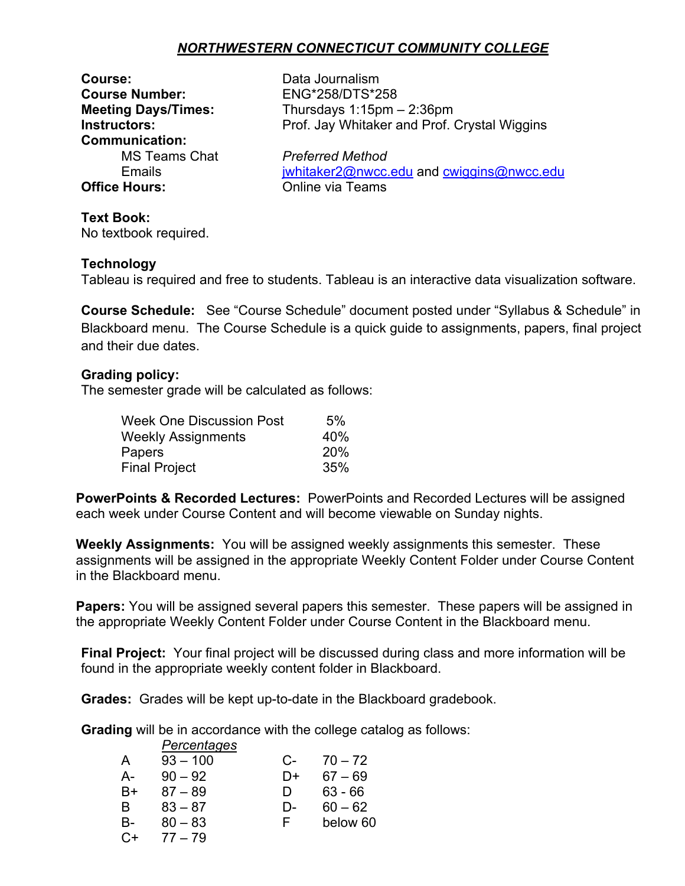# *NORTHWESTERN CONNECTICUT COMMUNITY COLLEGE*

**Course:** Data Journalism **Course Number:** ENG\*258/DTS\*258 **Communication: Office Hours:** Online via Teams

**Meeting Days/Times:** Thursdays 1:15pm – 2:36pm **Instructors:** Prof. Jay Whitaker and Prof. Crystal Wiggins

MS Teams Chat *Preferred Method* Emails imails imails in the internal end contract of the internal end cwingins@nwcc.edu

## **Text Book:**

No textbook required.

#### **Technology**

Tableau is required and free to students. Tableau is an interactive data visualization software.

**Course Schedule:** See "Course Schedule" document posted under "Syllabus & Schedule" in Blackboard menu. The Course Schedule is a quick guide to assignments, papers, final project and their due dates.

#### **Grading policy:**

The semester grade will be calculated as follows:

| 5%         |
|------------|
| 40%        |
| <b>20%</b> |
| 35%        |
|            |

**PowerPoints & Recorded Lectures:** PowerPoints and Recorded Lectures will be assigned each week under Course Content and will become viewable on Sunday nights.

**Weekly Assignments:** You will be assigned weekly assignments this semester. These assignments will be assigned in the appropriate Weekly Content Folder under Course Content in the Blackboard menu.

**Papers:** You will be assigned several papers this semester. These papers will be assigned in the appropriate Weekly Content Folder under Course Content in the Blackboard menu.

**Final Project:** Your final project will be discussed during class and more information will be found in the appropriate weekly content folder in Blackboard.

**Grades:** Grades will be kept up-to-date in the Blackboard gradebook.

**Grading** will be in accordance with the college catalog as follows:

|      | Percentages |    |           |
|------|-------------|----|-----------|
| A    | $93 - 100$  | C- | $70 - 72$ |
| А-   | $90 - 92$   | D+ | $67 - 69$ |
| B+   | 87 – 89     | Ð  | $63 - 66$ |
| B    | $83 - 87$   | D- | $60 - 62$ |
| B-   | $80 - 83$   | F  | below 60  |
| $C+$ | $77 - 79$   |    |           |